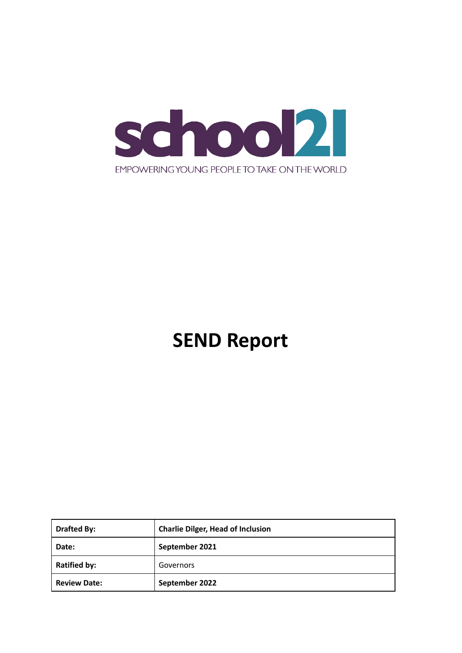

# **SEND Report**

| <b>Drafted By:</b>  | <b>Charlie Dilger, Head of Inclusion</b> |
|---------------------|------------------------------------------|
| Date:               | September 2021                           |
| <b>Ratified by:</b> | Governors                                |
| <b>Review Date:</b> | September 2022                           |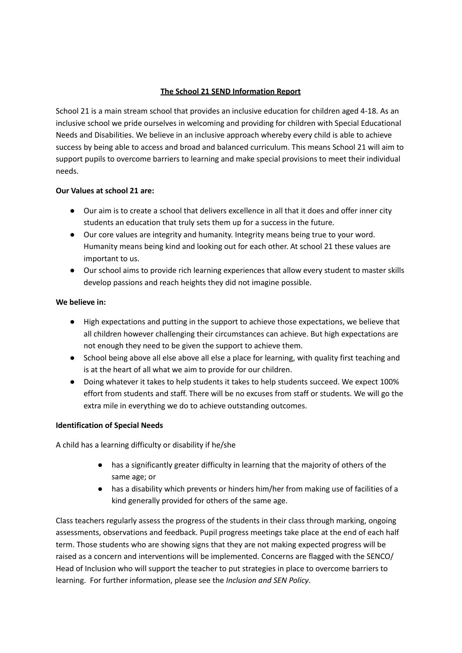# **The School 21 SEND Information Report**

School 21 is a main stream school that provides an inclusive education for children aged 4-18. As an inclusive school we pride ourselves in welcoming and providing for children with Special Educational Needs and Disabilities. We believe in an inclusive approach whereby every child is able to achieve success by being able to access and broad and balanced curriculum. This means School 21 will aim to support pupils to overcome barriers to learning and make special provisions to meet their individual needs.

#### **Our Values at school 21 are:**

- Our aim is to create a school that delivers excellence in all that it does and offer inner city students an education that truly sets them up for a success in the future.
- Our core values are integrity and humanity. Integrity means being true to your word. Humanity means being kind and looking out for each other. At school 21 these values are important to us.
- Our school aims to provide rich learning experiences that allow every student to master skills develop passions and reach heights they did not imagine possible.

# **We believe in:**

- High expectations and putting in the support to achieve those expectations, we believe that all children however challenging their circumstances can achieve. But high expectations are not enough they need to be given the support to achieve them.
- School being above all else above all else a place for learning, with quality first teaching and is at the heart of all what we aim to provide for our children.
- Doing whatever it takes to help students it takes to help students succeed. We expect 100% effort from students and staff. There will be no excuses from staff or students. We will go the extra mile in everything we do to achieve outstanding outcomes.

# **Identification of Special Needs**

A child has a learning difficulty or disability if he/she

- has a significantly greater difficulty in learning that the majority of others of the same age; or
- has a disability which prevents or hinders him/her from making use of facilities of a kind generally provided for others of the same age.

Class teachers regularly assess the progress of the students in their class through marking, ongoing assessments, observations and feedback. Pupil progress meetings take place at the end of each half term. Those students who are showing signs that they are not making expected progress will be raised as a concern and interventions will be implemented. Concerns are flagged with the SENCO/ Head of Inclusion who will support the teacher to put strategies in place to overcome barriers to learning. For further information, please see the *Inclusion and SEN Policy*.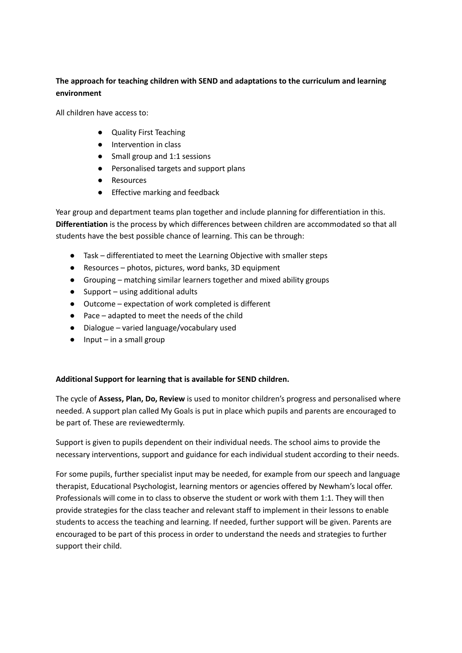# **The approach for teaching children with SEND and adaptations to the curriculum and learning environment**

All children have access to:

- Quality First Teaching
- Intervention in class
- Small group and 1:1 sessions
- Personalised targets and support plans
- **Resources**
- Effective marking and feedback

Year group and department teams plan together and include planning for differentiation in this. **Differentiation** is the process by which differences between children are accommodated so that all students have the best possible chance of learning. This can be through:

- Task differentiated to meet the Learning Objective with smaller steps
- Resources photos, pictures, word banks, 3D equipment
- Grouping matching similar learners together and mixed ability groups
- $\bullet$  Support using additional adults
- Outcome expectation of work completed is different
- Pace adapted to meet the needs of the child
- Dialogue varied language/vocabulary used
- $\bullet$  Input in a small group

# **Additional Support for learning that is available for SEND children.**

The cycle of **Assess, Plan, Do, Review** is used to monitor children's progress and personalised where needed. A support plan called My Goals is put in place which pupils and parents are encouraged to be part of. These are reviewedtermly.

Support is given to pupils dependent on their individual needs. The school aims to provide the necessary interventions, support and guidance for each individual student according to their needs.

For some pupils, further specialist input may be needed, for example from our speech and language therapist, Educational Psychologist, learning mentors or agencies offered by Newham's local offer. Professionals will come in to class to observe the student or work with them 1:1. They will then provide strategies for the class teacher and relevant staff to implement in their lessons to enable students to access the teaching and learning. If needed, further support will be given. Parents are encouraged to be part of this process in order to understand the needs and strategies to further support their child.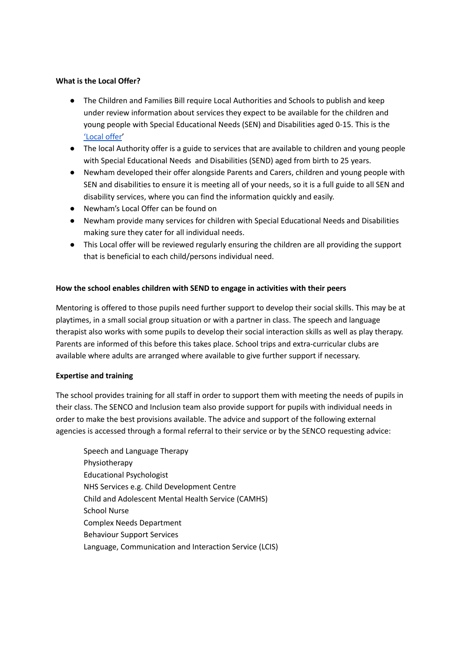#### **What is the Local Offer?**

- The Children and Families Bill require Local Authorities and Schools to publish and keep under review information about services they expect to be available for the children and young people with Special Educational Needs (SEN) and Disabilities aged 0-15. This is the ['Local](https://families.newham.gov.uk/kb5/newham/directory/localoffer.page?localofferchannel=0) offer'
- The local Authority offer is a guide to services that are available to children and young people with Special Educational Needs and Disabilities (SEND) aged from birth to 25 years.
- Newham developed their offer alongside Parents and Carers, children and young people with SEN and disabilities to ensure it is meeting all of your needs, so it is a full guide to all SEN and disability services, where you can find the information quickly and easily.
- Newham's Local Offer can be found on
- Newham provide many services for children with Special Educational Needs and Disabilities making sure they cater for all individual needs.
- This Local offer will be reviewed regularly ensuring the children are all providing the support that is beneficial to each child/persons individual need.

#### **How the school enables children with SEND to engage in activities with their peers**

Mentoring is offered to those pupils need further support to develop their social skills. This may be at playtimes, in a small social group situation or with a partner in class. The speech and language therapist also works with some pupils to develop their social interaction skills as well as play therapy. Parents are informed of this before this takes place. School trips and extra-curricular clubs are available where adults are arranged where available to give further support if necessary.

#### **Expertise and training**

The school provides training for all staff in order to support them with meeting the needs of pupils in their class. The SENCO and Inclusion team also provide support for pupils with individual needs in order to make the best provisions available. The advice and support of the following external agencies is accessed through a formal referral to their service or by the SENCO requesting advice:

Speech and Language Therapy Physiotherapy Educational Psychologist NHS Services e.g. Child Development Centre Child and Adolescent Mental Health Service (CAMHS) School Nurse Complex Needs Department Behaviour Support Services Language, Communication and Interaction Service (LCIS)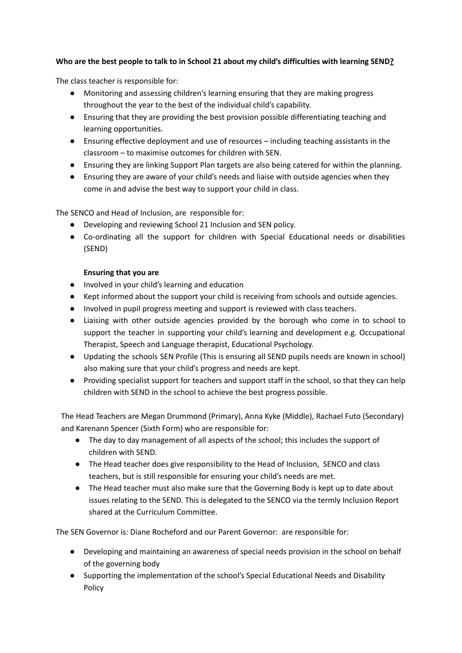# **Who are the best people to talk to in School 21 about my child's difficulties with learning SEND?**

The class teacher is responsible for:

- Monitoring and assessing children's learning ensuring that they are making progress throughout the year to the best of the individual child's capability.
- Ensuring that they are providing the best provision possible differentiating teaching and learning opportunities.
- Ensuring effective deployment and use of resources including teaching assistants in the classroom – to maximise outcomes for children with SEN.
- Ensuring they are linking Support Plan targets are also being catered for within the planning.
- Ensuring they are aware of your child's needs and liaise with outside agencies when they come in and advise the best way to support your child in class.

The SENCO and Head of Inclusion, are responsible for:

- Developing and reviewing School 21 Inclusion and SEN policy.
- Co-ordinating all the support for children with Special Educational needs or disabilities (SEND)

# **Ensuring that you are**

- Involved in your child's learning and education
- Kept informed about the support your child is receiving from schools and outside agencies.
- Involved in pupil progress meeting and support is reviewed with class teachers.
- Liaising with other outside agencies provided by the borough who come in to school to support the teacher in supporting your child's learning and development e.g. Occupational Therapist, Speech and Language therapist, Educational Psychology.
- Updating the schools SEN Profile (This is ensuring all SEND pupils needs are known in school) also making sure that your child's progress and needs are kept.
- Providing specialist support for teachers and support staff in the school, so that they can help children with SEND in the school to achieve the best progress possible.

The Head Teachers are Megan Drummond (Primary), Anna Kyke (Middle), Rachael Futo (Secondary) and Karenann Spencer (Sixth Form) who are responsible for:

- The day to day management of all aspects of the school; this includes the support of children with SEND.
- The Head teacher does give responsibility to the Head of Inclusion, SENCO and class teachers, but is still responsible for ensuring your child's needs are met.
- The Head teacher must also make sure that the Governing Body is kept up to date about issues relating to the SEND. This is delegated to the SENCO via the termly Inclusion Report shared at the Curriculum Committee.

The SEN Governor is: Diane Rocheford and our Parent Governor: are responsible for:

- Developing and maintaining an awareness of special needs provision in the school on behalf of the governing body
- Supporting the implementation of the school's Special Educational Needs and Disability Policy